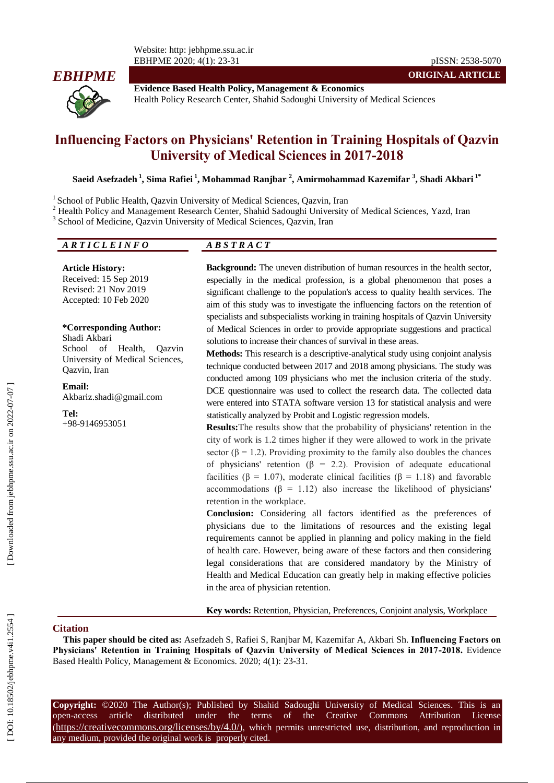

-31 pISSN: 2538 -5070 **ORIGINAL ARTICLE**

**Evidence Based Health Policy, Management & Economics** Health Policy Research Center, Shahid Sadoughi University of Medical Sciences

# **Influencing Factors on Physicians' Retention in Training Hospitals of Qazvin University of Medical Sciences in 2017 -2018**

**Saeid Asefzadeh 1 , Sima Rafiei 1 , Mohammad Ranjbar 2 , Amirmohammad Kazemifar 3 , Shadi Akbari 1\***

<sup>1</sup> School of Public Health, Qazvin University of Medical Sciences, Qazvin, Iran

<sup>2</sup> Health Policy and Management Research Center, Shahid Sadoughi University of Medical Sciences, Yazd, Iran

<sup>3</sup> School of Medicine, Qazvin University of Medical Sciences, Qazvin, Iran

## *A R T I C L E I N F O A B S T R A C T*

**Article History:** Received: 15 Sep 2019 Revised: 21 Nov 2019 Accepted: 10 Feb 2020

#### **\*Corresponding Author:**

Shadi Akbari School of Health, Qazvin University of Medical Sciences, Qazvin, Iran

**Email:**

Akbariz.shadi@gmail.com

**Tel:** +98 -9146953051 **Background :** The uneven distribution of human resources in the health sector, especially in the medical profession, is a global phenomenon that poses a significant challenge to the population's access to quality health services . The aim of this study was to investigate the influencing factors on the retention of specialists and subspecialists working in training hospitals of Qazvin University of Medical Sciences in order to provide appropriate suggestions and practical solutions to increase their chances of survival in these areas.

**Methods :** This research is a descriptive -analytical study using conjoint analysis technique conducted between 2017 and 2018 among physicians. The study was conducted among 109 physicians who met the inclusion criteria of the study. DCE questionnaire was used to collect the research data. The collected data were entered into STATA software version 13 for statistical analysis and were statistically analyzed by Probit and Logistic regression models.

**Results :**The results show that the probability of physicians' retention in the city of work is 1.2 times higher if they were allowed to work in the private sector ( $\beta$  = 1.2). Providing proximity to the family also doubles the chances of physicians' retention ( $\beta$  = 2.2). Provision of adequate educational facilities (β = 1.07), moderate clinical facilities (β = 1.18) and favorable accommodations ( $β = 1.12$ ) also increase the likelihood of physicians' retention in the workplace.

**Conclusion :** Considering all factors identified as the preferences of physicians due to the limitations of resources and the existing legal requirements cannot be applied in planning and policy making in the field of health care. However, being aware of these factors and then considering legal considerations that are considered mandatory by the Ministry of Health and Medical Education can greatly help in making effective policies in the area of physician retention.

**Key words :** Retention, Physician, Preferences, Conjoint analysis, Workplace

#### **Citation**

**This paper should be cited as:** Asefzadeh S, Rafiei S, Ranjbar M, Kazemifar A, Akbari Sh. **Influencing Factors on Physicians' Retention in Training Hospitals of Qazvin University of Medical Sciences in 2017 -2018 .** Evidence Based Health Policy, Management & Economics. 2020; 4(1): 23 -31.

**Copyright:** ©2020 The Author(s); Published by Shahid Sadoughi University of Medical Sciences. This is an open-access -access article distributed under the terms of the Creative Commons Attribution License (https://creativecommons.org/licenses/by/4.0/), which permits unrestricted use, distribution, and reproduction in any medium, provided the original work is properly cited.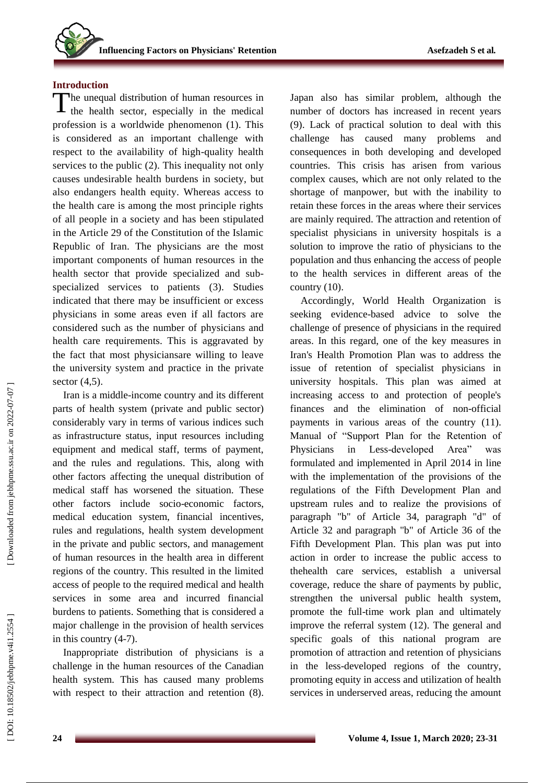## **Introduction**

The unequal distribution of human resources in The unequal distribution of human resources in<br>the health sector, especially in the medical profession is a worldwide phenomenon (1). This is considered as an important challenge with respect to the availability of high -quality health services to the public (2). This inequality not only causes undesirable health burdens in society, but also endangers health equity. Whereas access to the health care is among the most principle rights of all people in a society and has been stipulated in the Article 29 of the Constitution of the Islamic Republic of Iran. The physicians are the most important components of human resources in the health sector that provide specialized and sub specialized services to patients (3). Studies indicated that there may be insufficient or excess physicians in some areas even if all factors are considered such as the number of physicians and health care requirements. This is aggravated by the fact that most physiciansare willing to leave the university system and practice in the private secto r (4,5) .

Iran is a middle -income country and its different parts of health system ( private and public sector) considerably vary in terms of various indices such as infrastructure status, input resources including equipment and medical staff, terms of payment, and the rules and regulations. This, along with other factors affecting the unequal distribution of medical staff has worsened the situation. These other factors include socio -economic factors, medical education system, financial incentives, rules and regulations, health system development in the private and public sector s, and management of human resources in the health area in different regions of the country. This resulted in the limited access of people to the required medical and health services in some area and incurred financial burdens to patients. Something that is considered a major challenge in the provision of health services in this country (4-7).

Inappropriate distribution of physicians is a challenge in the human resources of the Canadian health system. This has caused many problems with respect to their attraction and retention (8). Japan also has similar problem, although the number of doctors has increased in recent years (9). Lack of practical solution to deal with this challenge has caused many problems and consequences in both developing and developed countries. This crisis has arisen from various complex causes, which are not only related to the shortage of manpower, but with the inability to retain these forces in the areas where their services are mainly required . The attraction and retention of specialist physicians in university hospitals is a solution to improve the ratio of physicians to the population and thus enhancing the access of people to the health services in different areas of the country (10).

Accordingly, World Health Organization is seeking evidence -based advice to solve the challenge of presence of physicians in the required areas. In this regard, one of the key measures in Iran's Health Promotion Plan was to address the issue of retention of specialist physicians in university hospitals. This plan was aimed at increasing access to and protection of people's finances and the elimination of non -official payments in various areas of the country (11) . Manual of "Support Plan for the Retention of Physicians in Less-developed Area<sup>"</sup> was formulated and implemented in April 2014 in line with the implementation of the provisions of the regulations of the Fifth Development Plan and upstream rules and to realize the provisions of paragraph "b" of Article 34, paragraph "d" of Article 32 and paragraph "b" of Article 36 of the Fifth Development Plan. This plan was put into action in order to increase the public access to thehealth care services, establish a universal coverage, reduce the share of payments by public, strengthen the universal public health system, promote the full -time work plan and ultimately improve the referral system (12). The general and specific goals of this national program are promotion of attraction and retention of physicians in the less -developed regions of the country, promoting equity in access and utilization of health services in underserved areas, reducing the amount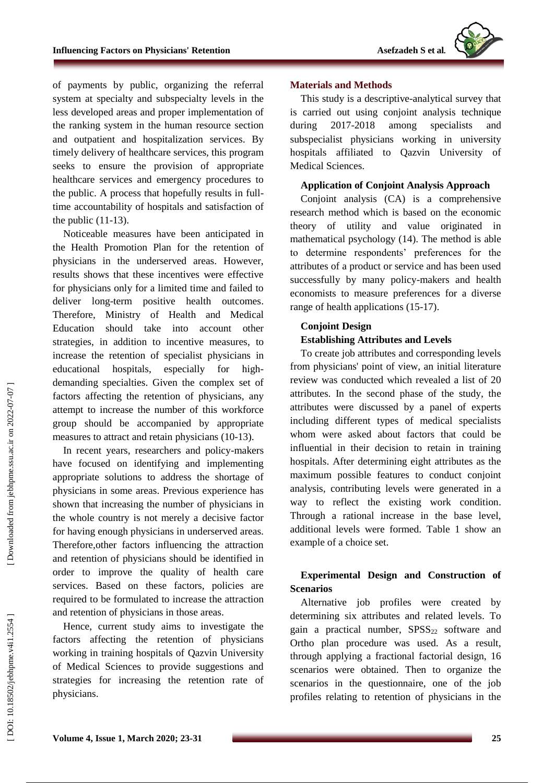

of payments by public, organizing the referral system at specialty and subspecialty levels in the less developed areas and proper implementation of the ranking system in the human resource section and outpatient and hospitalization services. By timely delivery of healthcare services, this program seeks to ensure the provision of appropriate healthcare services and emergency procedures to the public. A process that hopefully results in full time accountability of hospitals and satisfaction of the public (11 -13) .

Noticeable measures have been anticipated in the Health Promotion Plan for the retention of physicians in the underserved areas. However, results shows that these incentives were effective for physicians only for a limited time and failed to deliver lon g -term positive health outcomes. Therefore, Ministry of Health and Medical Education should take into account other strategies, in addition to incentive measures , to increase the retention of specialist physicians in educational hospitals, especially for high demanding specialties. Given the complex set of factors affecting the retention of physicians, any attempt to increase the number of this workforce group should be accompanied by appropriate measures to attract and retain physicians (10 -13).

In recent years, researchers and policy -makers have focused on identifying and implementing appropriate solutions to address the shortage of physicians in some areas. Previous experience has shown that increasing the number of physicians in the whole country is not merely a decisive factor for having enough physicians in underserved areas. Therefore,other factors influencing the attraction and retention of physicians should be identified in order to improve the quality of health care services. Based on these factors, policies are required to be formulated to increase the attraction and retention of physicians in those areas.

Hence, current study aims to investigate the factors affecting the retention of physicians working in training hospitals of Qazvin University of Medical Sciences to provide suggestions and strategies for increasing the retention rate of physicians.

### **Materials and Methods**

This study is a descriptive -analytical survey that is carried out using conjoint analysis technique during 2017-2018 among specialists and subspecialist physicians working in university hospitals affiliated to Qazvin University of Medical Sciences.

#### **Application of Conjoint Analysis Approach**

Conjoint analysis (CA) is a comprehensive research method which is based on the economic theory of utility and value originated in mathematical psychology (14). The method is able to determine respondents' preferences for the attributes of a product or service and has been used successfully by many policy -makers and health economists to measure preferences for a diverse range of health applications (15-17).

## **Conjoint Design Establishing Attributes and Levels**

To create job attributes and corresponding levels from physicians' point of view, an initial literature review was conducted which revealed a list of 20 attributes. In the second phase of the study, the attributes were discussed by a panel of experts including different types of medical specialists whom were asked about factors that could be influential in their decision to retain in training hospitals. After determining eight attributes as the maximum possible features to conduct conjoint analysis, contributing levels were generated in a way to reflect the existing work condition. Through a rational increase in the base level, additional levels were formed. Table 1 show an example of a choice set.

## **Experimental Design and Construction of Scenarios**

Alternative job profiles were created by determining six attributes and related levels. To gain a practical number,  $SPSS<sub>22</sub>$  software and Ortho plan procedure was used. As a result, through applying a fractional factorial design, 16 scenarios were obtained. Then to organize the scenarios in the questionnaire, one of the job profiles relating to retention of physicians in the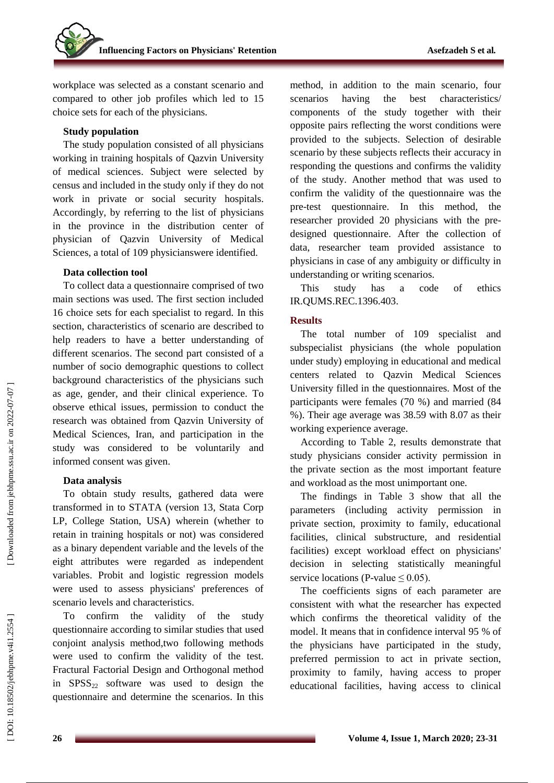workplace was selected as a constant scenario and compared to other job profiles which led to 15 choice sets for each of the physicians.

## **Study population**

The study population consisted of all physicians working in training hospitals of Qazvin University of medical sciences. Subject were selected by census and included in the study only if they do not work in private or social security hospitals. Accordingly, by referring to the list of physicians in the province in the distribution center of physician of Qazvin University of Medical Sciences, a total of 109 physicianswere identified.

## **Data collection tool**

To collect data a questionnaire comprised of two main sections was used. The first section included 16 choice sets for each specialist to regard. In this section, characteristics of scenario are described to help readers to have a better understanding of different scenarios. The second part consisted of a number of socio demographic questions to collect background characteristics of the physicians such as age, gender, and their clinical experience. To observe ethical issues, permission to conduct the research was obtained from Qazvin University of Medical Sciences, Iran, and participation in the study was considered to be voluntarily and informed consent was given.

## **Data analysis**

To obtain study results, gathered data were transformed in to STATA (version 13, Stata Corp LP, College Station, USA) wherein (whether to retain in training hospitals or not) was considered as a binary dependent variable and the levels of the eight attributes were regarded as independent variables. Probit and logistic regression models were used to assess physicians' preferences of scenario levels and characteristics.

To confirm the validity of the study questionnaire according to similar studies that used conjoint analysis method,two following methods were used to confirm the validity of the test. Fractural Factorial Design and Orthogonal method in  $SPSS_{22}$  software was used to design the questionnaire and determine the scenarios. In this method, in addition to the main scenario, four scenarios having the best characteristics / components of the study together with their opposite pairs reflecting the worst conditions were provided to the subjects. Selection of desirable scenario by these subjects reflects their accuracy in responding the questions and confirms the validity of the study. Another method that was used to confirm the validity of the questionnaire was the pre -test questionnaire. In this method, the researcher provided 20 physicians with the pre designed questionnaire. After the collection of data, researcher team provided assistance to physicians in case of any ambiguity or difficulty in understanding or writing scenarios.

This study has a code of ethics IR.QUMS.REC.1396.403.

## **Results**

The total number of 109 specialist and subspecialist physicians (the whole population under study) employing in educational and medical centers related to Qazvin Medical Sciences University filled in the questionnaires. Most of the participants were females (70 %) and married (84 %). Their age average was 38.59 with 8.07 as their working experience average.

According to Table 2, results demonstrate that study physicians consider activity permission in the private section as the most important feature and workload as the most unimportant one.

The findings in Table 3 show that all the parameters (including activity permission in private section, proximity to family, educational facilities, clinical substructure, and residential facilities) except workload effect on physicians' decision in selecting statistically meaningful service locations (P-value  $\leq 0.05$ ).

The coefficients signs of each parameter are consistent with what the researcher has expected which confirms the theoretical validity of the model. It means that in confidence interval 95 % of the physicians have participated in the study, preferred permission to act in private section, proximity to family, having access to proper educational facilities, having access to clinical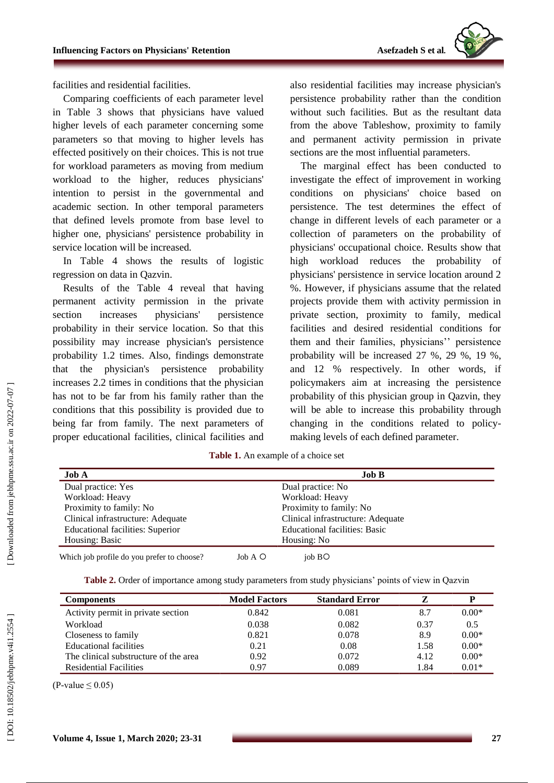

facilities and residential facilities.

Comparing coefficients of each parameter level in Table 3 shows that physicians have valued higher levels of each parameter concerning some parameters so that moving to higher levels has effected positively on their choices. This is not true for workload parameters as moving from medium workload to the higher, reduces physicians' intention to persist in the governmental and academic section. In other temporal parameters that defined levels promote from base level to higher one, physicians' persistence probability in service location will be increased.

In Table 4 shows the results of logistic regression on data in Qazvin.

Results of the Table 4 reveal that having permanent activity permission in the private section increases physicians' persistence probability in their service location. So that this possibility may increase physician's persistence probability 1.2 times. Also, findings demonstrate that the physician's persistence probability increases 2.2 times in conditions that the physician has not to be far from his family rather than the conditions that this possibility is provided due to being far from family. The next parameters of proper educational facilities, clinical facilities and

also residential facilities may increase physician's persistence probability rather than the condition without such facilities. But as the resultant data from the above Tableshow, proximity to family and permanent activity permission in private sections are the most influential parameters.

The marginal effect has been conducted to investigate the effect of improvement in working conditions on physicians' choice based on persistence. The test determines the effect of change in different levels of each parameter or a collection of parameters on the probability of physicians' occupational choice. Results show that high workload reduces the probability of physicians' persistence in service location around 2 %. However, if physicians assume that the related projects provide them with activity permission in private section, proximity to family, medical facilities and desired residential conditions for them and their families, physicians'' persistence probability will be increased 27 %, 29 %, 19 %, and 12 % respectively. In other words, if policymakers aim at increasing the persistence probability of this physician group in Qazvin, they will be able to increase this probability through changing in the conditions related to policy making levels of each defined parameter.

| <b>Table 1.</b> An example of a choice set |  |
|--------------------------------------------|--|
|--------------------------------------------|--|

| <b>Job A</b>                               |                | Job <sub>B</sub>                     |  |
|--------------------------------------------|----------------|--------------------------------------|--|
| Dual practice: Yes                         |                | Dual practice: No                    |  |
| Workload: Heavy                            |                | Workload: Heavy                      |  |
| Proximity to family: No                    |                | Proximity to family: No              |  |
| Clinical infrastructure: Adequate          |                | Clinical infrastructure: Adequate    |  |
| <b>Educational facilities: Superior</b>    |                | <b>Educational facilities: Basic</b> |  |
| Housing: Basic                             |                | Housing: No                          |  |
| Which job profile do you prefer to choose? | $J0$ A $\circ$ | job BO                               |  |

**Table 2.** Order of importance among study parameters from study physicians' points of view in Qazvin

| <b>Components</b>                     | <b>Model Factors</b> | <b>Standard Error</b> |      |         |
|---------------------------------------|----------------------|-----------------------|------|---------|
| Activity permit in private section    | 0.842                | 0.081                 | 8.7  | $0.00*$ |
| Workload                              | 0.038                | 0.082                 | 0.37 | 0.5     |
| Closeness to family                   | 0.821                | 0.078                 | 8.9  | $0.00*$ |
| Educational facilities                | 0.21                 | 0.08                  | 1.58 | $0.00*$ |
| The clinical substructure of the area | 0.92                 | 0.072                 | 4.12 | $0.00*$ |
| <b>Residential Facilities</b>         | 0.97                 | 0.089                 | 1.84 | $0.01*$ |

 $(P-value \le 0.05)$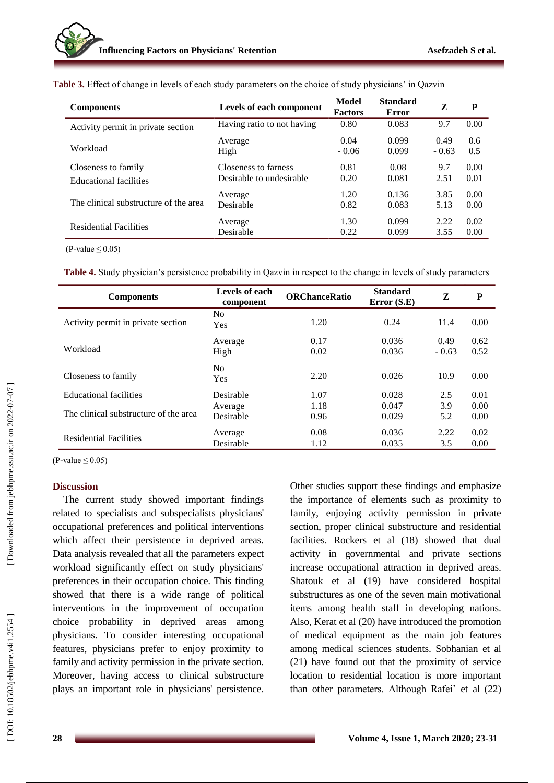| <b>Components</b>                     | Levels of each component   | Model<br><b>Factors</b> | <b>Standard</b><br>Error | Z               | P          |
|---------------------------------------|----------------------------|-------------------------|--------------------------|-----------------|------------|
| Activity permit in private section    | Having ratio to not having | 0.80                    | 0.083                    | 9.7             | 0.00       |
| Workload                              | Average<br>High            | 0.04<br>$-0.06$         | 0.099<br>0.099           | 0.49<br>$-0.63$ | 0.6<br>0.5 |
| Closeness to family                   | Closeness to farness       | 0.81                    | 0.08                     | 9.7             | 0.00       |
| <b>Educational facilities</b>         | Desirable to undesirable   | 0.20                    | 0.081                    | 2.51            | 0.01       |
| The clinical substructure of the area | Average                    | 1.20                    | 0.136                    | 3.85            | 0.00       |
|                                       | Desirable                  | 0.82                    | 0.083                    | 5.13            | 0.00       |
| <b>Residential Facilities</b>         | Average                    | 1.30                    | 0.099                    | 2.22            | 0.02       |
|                                       | Desirable                  | 0.22                    | 0.099                    | 3.55            | 0.00       |

**Table 3.** Effect of change in levels of each study parameters on the choice of study physicians' in Qazvin

 $(P$ -value  $\leq 0.05$ )

**Table 4 .** Study physician's persistence probability in Qazvin in respect to the change in levels of study parameters

| <b>Components</b>                     | Levels of each<br>component | <b>ORChanceRatio</b> | <b>Standard</b><br>Error $(S.E)$ | Z               | P            |
|---------------------------------------|-----------------------------|----------------------|----------------------------------|-----------------|--------------|
| Activity permit in private section    | No.<br>Yes                  | 1.20                 | 0.24                             | 11.4            | 0.00         |
| Workload                              | Average<br>High             | 0.17<br>0.02         | 0.036<br>0.036                   | 0.49<br>$-0.63$ | 0.62<br>0.52 |
| Closeness to family                   | No.<br>Yes                  | 2.20                 | 0.026                            | 10.9            | 0.00         |
| <b>Educational facilities</b>         | Desirable                   | 1.07                 | 0.028                            | 2.5             | 0.01         |
| The clinical substructure of the area | Average<br>Desirable        | 1.18<br>0.96         | 0.047<br>0.029                   | 3.9<br>5.2      | 0.00<br>0.00 |
| <b>Residential Facilities</b>         | Average<br>Desirable        | 0.08<br>1.12         | 0.036<br>0.035                   | 2.22<br>3.5     | 0.02<br>0.00 |

 $(P-value \le 0.05)$ 

## **Discussion**

The current study showed important findings related to specialists and subspecialists physicians' occupational preferences and political interventions which affect their persistence in deprived areas. Data analysis revealed that all the parameters expect workload significantly effect on study physicians' preferences in their occupation choice. This finding showed that there is a wide range of political interventions in the improvement of occupation choice probability in deprived areas among physicians. To consider interesting occupational features, physicians prefer to enjoy proximity to family and activity permission in the private section. Moreover, having access to clinical substructure plays an important role in physicians' persistence. Other studies support these findings and emphasize the importance of elements such as proximity to family, enjoying activity permission in private section, proper clinical substructure and residential facilities. Rockers et al (18) showed that dual activity in governmental and private sections increase occupational attraction in deprived areas. Shatouk et al (19) have considered hospital substructures as one of the seven main motivational items among health staff in developing nations. Also, Kerat et al (20) have introduced the promotion of medical equipment as the main job features among medical sciences students. Sobhanian et al (21) have found out that the proximity of service location to residential location is more important than other parameters. Although Rafei' et al (22)

Downloaded from jebhpme.ssu.ac.ir on 2022-07-07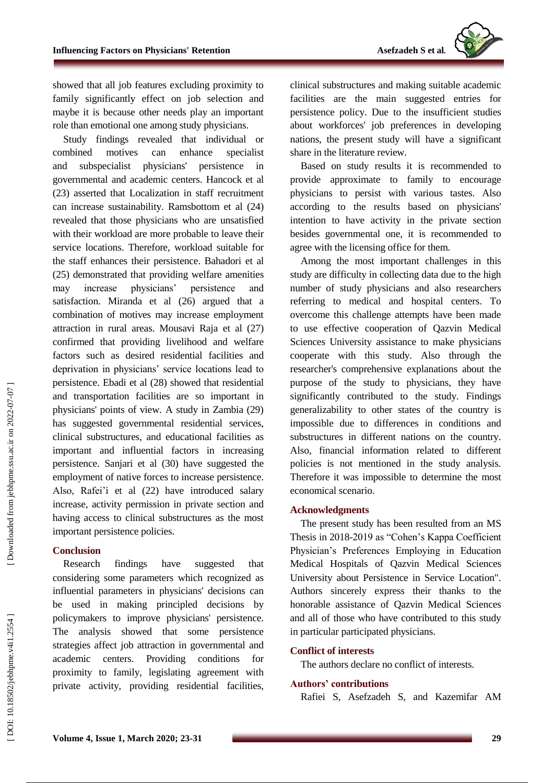

showed that all job features excluding proximity to family significantly effect on job selection and maybe it is because other needs play an important role than emotional one among study physicians.

Study findings revealed that individual or combined motives can enhance specialist and subspecialist physicians' persistence in governmental and academic centers. Hancock et al (23) asserted that Localization in staff recruitment can increase sustainability. Ramsbottom et al (24) revealed that those physicians who are unsatisfied with their workload are more probable to leave their service locations. Therefore, workload suitable for the staff enhances their persistence. Bahadori et al (25) demonstrated that providing welfare amenities may increase physicians' persistence and satisfaction. Miranda et al (26) argued that a combination of motives may increase employment attraction in rural areas. Mousavi Raja et al (27) confirmed that providing livelihood and welfare factors such as desired residential facilities and deprivation in physicians' service locations lead to persistence. Ebadi et al (28) showed that residential and transportation facilities are so important in physicians' points of view. A study in Zambia (29) has suggested governmental residential services, clinical substructures, and educational facilities as important and influential factors in increasing persistence. Sanjari et al (30) have suggested the employment of native forces to increase persistence. Also, Rafei'i et al (22) have introduced salary increase, activity permission in private section and having access to clinical substructures as the most important persistence policies.

## **Conclusion**

Research findings have suggested that considering some parameters which recognized as influential parameters in physicians' decisions can be used in making principled decisions by policymakers to improve physicians' persistence. The analysis showed that some persistence strategies affect job attraction in governmental and academic centers. Providing conditions for proximity to family, legislating agreement with private activity, providing residential facilities, clinical substructures and making suitable academic facilities are the main suggested entries for persistence policy. Due to the insufficient studies about workforces' job preferences in developing nations, the present study will have a significant share in the literature review.

Based on study results it is recommended to provide approximate to family to encourage physicians to persist with various tastes. Also according to the results based on physicians' intention to have activity in the private section besides governmental one, it is recommended to agree with the licensing office for them.

Among the most important challenges in this study are difficulty in collecting data due to the high number of study physicians and also researchers referring to medical and hospital centers. To overcome this challenge attempts have been made to use effective cooperation of Qazvin Medical Sciences University assistance to make physicians cooperate with this study. Also through the researcher's comprehensive explanations about the purpose of the study to physicians, they have significantly contributed to the study. Findings generalizability to other states of the country is impossible due to differences in conditions and substructures in different nations on the country. Also, financial information related to different policies is not mentioned in the study analysis. Therefore it was impossible to determine the most economical scenario.

## **Acknowledgment s**

The present study has been resulted from an MS Thesis in 2018-2019 as "Cohen's Kappa Coefficient Physician's Preferences Employing in Education Medical Hospitals of Qazvin Medical Sciences University about Persistence in Service Location". Authors sincerely express their thanks to the honorable assistance of Qazvin Medical Sciences and all of those who have contributed to this study in particular participated physicians.

#### **Conflict of interest s**

The authors declare no conflict of interests.

## **Authors' contributions**

Rafiei S, Asefzadeh S, and Kazemifar AM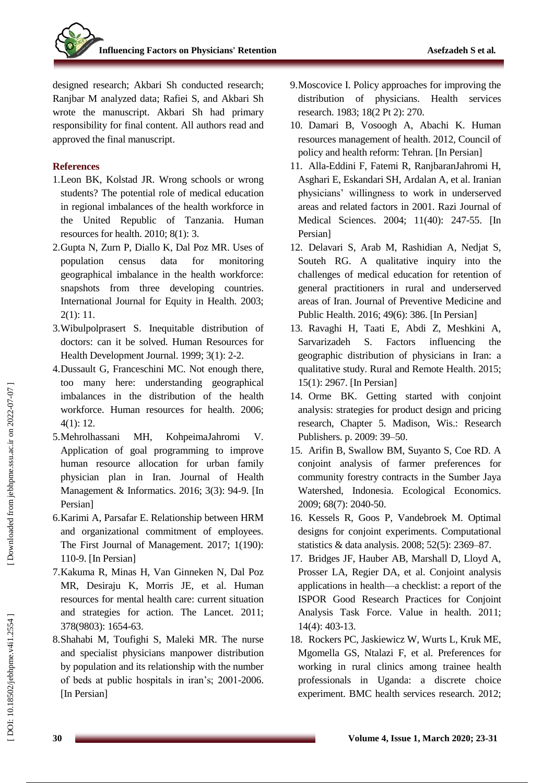designed research; Akbari S h conducted research; Ranjbar M analyzed data; Rafiei S, and Akbari S h wrote the manuscript. Akbari S h had primary responsibility for final content. All authors read and approved the final manuscript.

### **References**

- 1.Leon BK, Kolstad JR. Wrong schools or wrong students? The potential role of medical education in regional imbalances of the health workforce in the United Republic of Tanzania. Human resources for health. 2010; 8(1): 3.
- 2.Gupta N, Zurn P, Diallo K, Dal Poz MR. Uses of population census data for monitoring geographical imbalance in the health workforce: snapshots from three developing countries. International Journal for Equity in Health. 2003; 2(1): 11.
- 3.Wibulpolprasert S. Inequitable distribution of doctors: can it be solved. Human Resources for Health Development Journal. 1999; 3(1): 2 -2.
- 4.Dussault G, Franceschini MC. Not enough there, too many here: understanding geographical imbalances in the distribution of the health workforce. Human resources for health. 2006; 4(1): 12.
- 5.Mehrolhassani MH, KohpeimaJahromi V. Application of goal programming to improve human resource allocation for urban family physician plan in Iran. Journal of Health Management & Informatics. 2016; 3(3): 94 -9. [In Persian]
- 6.Karimi A, Parsafar E. Relationship between HRM and organizational commitment of employees. The First Journal of Management. 2017; 1(190): 110 -9. [In Persian]
- 7.Kakuma R, Minas H, Van Ginneken N, Dal Poz MR, Desiraju K, Morris JE, et al. Human resources for mental health care: current situation and strategies for action. The Lancet. 2011; 378(9803): 1654 -63.
- 8.Shahabi M, Toufighi S, Maleki MR. The nurse and specialist physicians manpower distribution by population and its relationship with the number of beds at public hospitals in iran's; 2001 -2006. [In Persian]
- 9.Moscovice I. Policy approaches for improving the distribution of physicians. Health services research. 1983; 18(2 Pt 2): 270.
- 10. Damari B, Vosoogh A, Abachi K. Human resources management of health. 2012, Council of policy and health reform: Tehran. [In Persian]
- 11. Alla -Eddini F, Fatemi R, RanjbaranJahromi H, Asghari E, Eskandari SH, Ardalan A, et al. Iranian physicians' willingness to work in underserved areas and related factors in 2001. Razi Journal of Medical Sciences. 2004; 11(40): 247 -55. [In Persian]
- 12. Delavari S, Arab M, Rashidian A, Nedjat S, Souteh RG. A qualitative inquiry into the challenges of medical education for retention of general practitioners in rural and underserved areas of Iran. Journal of Preventive Medicine and Public Health. 2016; 49(6): 386. [In Persian]
- 13. Ravaghi H, Taati E, Abdi Z, Meshkini A, Sarvarizadeh S. Factors influencing the geographic distribution of physicians in Iran: a qualitative study. Rural and Remote Health. 2015; 15(1): 2967. [In Persian]
- 14. Orme BK. Getting started with conjoint analysis: strategies for product design and pricing research, Chapter 5. Madison, Wis.: Research Publishers. p. 2009: 3 9 –50.
- 15. Arifin B, Swallow BM, Suyanto S, Coe RD. A conjoint analysis of farmer preferences for community forestry contracts in the Sumber Jaya Watershed, Indonesia. Ecological Economics. 2009; 68(7): 2040 -50.
- 16. Kessels R, Goos P, Vandebroek M. Optimal designs for conjoint experiments. Computational statistics & data analysis. 2008; 52(5): 2369 –87.
- 17. Bridges JF, Hauber AB, Marshall D, Lloyd A, Prosser LA, Regier DA, et al. Conjoint analysis applications in health—a checklist: a report of the ISPOR Good Research Practices for Conjoint Analysis Task Force. Value in health. 2011; 14(4): 403 -13.
- 18. Rockers PC, Jaskiewicz W, Wurts L, Kruk ME, Mgomella GS, Ntalazi F, et al. Preferences for working in rural clinics among trainee health professionals in Uganda: a discrete choice experiment. BMC health services research. 2012;